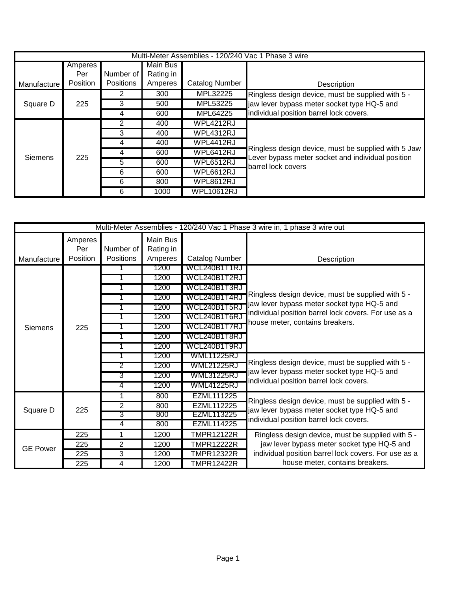| Multi-Meter Assemblies - 120/240 Vac 1 Phase 3 wire |          |                  |           |                       |                                                                                                          |  |
|-----------------------------------------------------|----------|------------------|-----------|-----------------------|----------------------------------------------------------------------------------------------------------|--|
|                                                     | Amperes  |                  | Main Bus  |                       |                                                                                                          |  |
|                                                     | Per      | Number of        | Rating in |                       |                                                                                                          |  |
| Manufacture                                         | Position | <b>Positions</b> | Amperes   | <b>Catalog Number</b> | Description                                                                                              |  |
|                                                     |          | 2                | 300       | MPL32225              | Ringless design device, must be supplied with 5 -                                                        |  |
| Square D                                            | 225      | 3                | 500       | MPL53225              | jaw lever bypass meter socket type HQ-5 and                                                              |  |
|                                                     |          | 4                | 600       | MPL64225              | individual position barrel lock covers.                                                                  |  |
|                                                     |          | 2                | 400       | <b>WPL4212RJ</b>      |                                                                                                          |  |
|                                                     |          | 3                | 400       | <b>WPL4312RJ</b>      |                                                                                                          |  |
|                                                     |          | 4                | 400       | WPL4412RJ             |                                                                                                          |  |
| Siemens                                             | 225      | 4                | 600       | WPL6412RJ             | Ringless design device, must be supplied with 5 Jaw<br>Lever bypass meter socket and individual position |  |
|                                                     |          | 5                | 600       | <b>WPL6512RJ</b>      | barrel lock covers                                                                                       |  |
|                                                     |          | 6                | 600       | WPL6612RJ             |                                                                                                          |  |
|                                                     |          | 6                | 800       | <b>WPL8612RJ</b>      |                                                                                                          |  |
|                                                     |          | 6                | 1000      | <b>WPL10612RJ</b>     |                                                                                                          |  |

| Multi-Meter Assemblies - 120/240 Vac 1 Phase 3 wire in, 1 phase 3 wire out |                            |                               |                                         |                   |                                                                                                                                             |  |
|----------------------------------------------------------------------------|----------------------------|-------------------------------|-----------------------------------------|-------------------|---------------------------------------------------------------------------------------------------------------------------------------------|--|
| Manufacture                                                                | Amperes<br>Per<br>Position | Number of<br><b>Positions</b> | <b>Main Bus</b><br>Rating in<br>Amperes | Catalog Number    | Description                                                                                                                                 |  |
|                                                                            |                            |                               | 1200                                    | WCL240B1T1RJ      |                                                                                                                                             |  |
|                                                                            |                            |                               | 1200                                    | WCL240B1T2RJ      |                                                                                                                                             |  |
|                                                                            |                            |                               | 1200                                    | WCL240B1T3RJ      |                                                                                                                                             |  |
|                                                                            |                            | 1                             | 1200                                    | WCL240B1T4RJ      | Ringless design device, must be supplied with 5 -                                                                                           |  |
|                                                                            |                            | 1                             | 1200                                    | WCL240B1T5RJ      | jaw lever bypass meter socket type HQ-5 and                                                                                                 |  |
|                                                                            |                            | 1                             | 1200                                    | WCL240B1T6RJ      | individual position barrel lock covers. For use as a                                                                                        |  |
| Siemens                                                                    | 225                        | 1                             | 1200                                    | WCL240B1T7RJ      | house meter, contains breakers.                                                                                                             |  |
|                                                                            |                            | 1                             | 1200                                    | WCL240B1T8RJ      |                                                                                                                                             |  |
|                                                                            |                            |                               | 1200                                    | WCL240B1T9RJ      |                                                                                                                                             |  |
|                                                                            |                            |                               | 1200                                    | WML11225RJ        |                                                                                                                                             |  |
|                                                                            |                            | 2                             | 1200                                    | <b>WML21225RJ</b> | Ringless design device, must be supplied with 5 -<br>jaw lever bypass meter socket type HQ-5 and<br>individual position barrel lock covers. |  |
|                                                                            |                            | 3                             | 1200                                    | WML31225RJ        |                                                                                                                                             |  |
|                                                                            |                            | 4                             | 1200                                    | WML41225RJ        |                                                                                                                                             |  |
| Square D                                                                   | 225                        | 1                             | 800                                     | EZML111225        |                                                                                                                                             |  |
|                                                                            |                            | $\overline{2}$                | 800                                     | EZML112225        | Ringless design device, must be supplied with 5 -<br>jaw lever bypass meter socket type HQ-5 and                                            |  |
|                                                                            |                            | 3                             | 800                                     | EZML113225        | individual position barrel lock covers.                                                                                                     |  |
|                                                                            |                            | 4                             | 800                                     | <b>EZML114225</b> |                                                                                                                                             |  |
| <b>GE Power</b>                                                            | 225                        | 1                             | 1200                                    | <b>TMPR12122R</b> | Ringless design device, must be supplied with 5 -                                                                                           |  |
|                                                                            | 225                        | 2                             | 1200                                    | <b>TMPR12222R</b> | jaw lever bypass meter socket type HQ-5 and<br>individual position barrel lock covers. For use as a                                         |  |
|                                                                            | 225                        | 3                             | 1200                                    | TMPR12322R        |                                                                                                                                             |  |
|                                                                            | 225                        | 4                             | 1200                                    | TMPR12422R        | house meter, contains breakers.                                                                                                             |  |